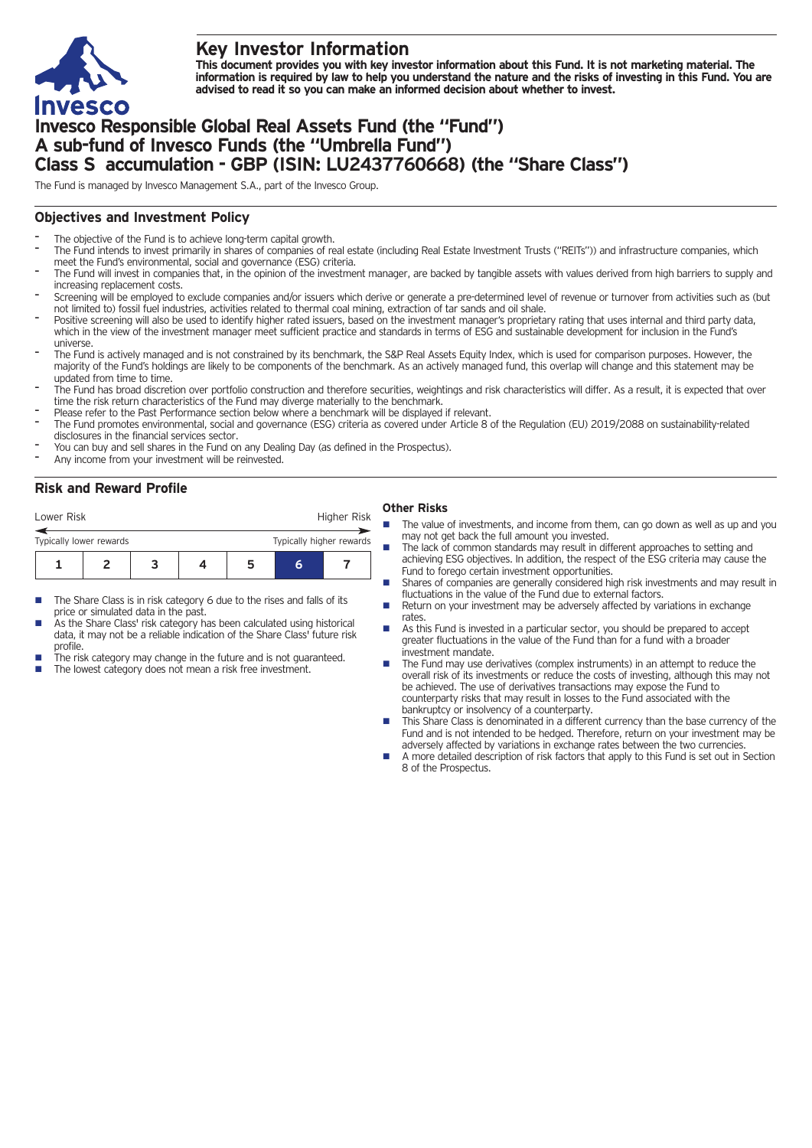

# **Key Investor Information**

This document provides you with key investor information about this Fund. It is not marketing material. The information is required by law to help you understand the nature and the risks of investing in this Fund. You are **advised to read it so you can make an informed decision about whether to invest.**

# **Invesco Responsible Global Real Assets Fund (the "Fund") A sub-fund of Invesco Funds (the "Umbrella Fund") Class S accumulation - GBP (ISIN: LU2437760668) (the "Share Class")**

The Fund is managed by Invesco Management S.A., part of the Invesco Group.

## **Objectives and Investment Policy**

- The objective of the Fund is to achieve long-term capital growth.
- The Fund intends to invest primarily in shares of companies of real estate (including Real Estate Investment Trusts ("REITs")) and infrastructure companies, which meet the Fund's environmental, social and governance (ESG) criteria.
- The Fund will invest in companies that, in the opinion of the investment manager, are backed by tangible assets with values derived from high barriers to supply and increasing replacement costs.
- Screening will be employed to exclude companies and/or issuers which derive or generate <sup>a</sup> pre-determined level of revenue or turnover from activities such as (but not limited to) fossil fuel industries, activities related to thermal coal mining, extraction of tar sands and oil shale.
- Positive screening will also be used to identify higher rated issuers, based on the investment manager's proprietary rating that uses internal and third party data, which in the view of the investment manager meet sufficient practice and standards in terms of ESG and sustainable development for inclusion in the Fund's universe.
- The Fund is actively managed and is not constrained by its benchmark, the S&P Real Assets Equity Index, which is used for comparison purposes. However, the majority of the Fund's holdings are likely to be components of the benchmark. As an actively managed fund, this overlap will change and this statement may be updated from time to time.
- The Fund has broad discretion over portfolio construction and therefore securities, weightings and risk characteristics will differ. As a result, it is expected that over time the risk return characteristics of the Fund may diverge materially to the benchmark.
- Please refer to the Past Performance section below where a benchmark will be displayed if relevant.
- The Fund promotes environmental, social and governance (ESG) criteria as covered under Article 8 of the Regulation (EU) 2019/2088 on sustainability-related disclosures in the financial services sector.
- You can buy and sell shares in the Fund on any Dealing Day (as defined in the Prospectus).
- Any income from your investment will be reinvested.

## **Risk and Reward Profile**

| Lower Risk              |  |  |                          | Higher Risk |   |  |  |
|-------------------------|--|--|--------------------------|-------------|---|--|--|
| Typically lower rewards |  |  | Typically higher rewards |             |   |  |  |
|                         |  |  |                          |             | h |  |  |

- The Share Class is in risk category 6 due to the rises and falls of its price or simulated data in the past.
- As the Share Class' risk category has been calculated using historical data, it may not be a reliable indication of the Share Class' future risk profile.
- The risk category may change in the future and is not guaranteed.
- The lowest category does not mean a risk free investment.

#### **Other Risks**

- The value of investments, and income from them, can go down as well as up and you may not get back the full amount you invested.
- The lack of common standards may result in different approaches to setting and achieving ESG objectives. In addition, the respect of the ESG criteria may cause the Fund to forego certain investment opportunities.
- **n** Shares of companies are generally considered high risk investments and may result in fluctuations in the value of the Fund due to external factors.
- Return on your investment may be adversely affected by variations in exchange rates.
- **n** As this Fund is invested in a particular sector, you should be prepared to accept greater fluctuations in the value of the Fund than for a fund with a broader investment mandate.
- The Fund may use derivatives (complex instruments) in an attempt to reduce the overall risk of its investments or reduce the costs of investing, although this may not be achieved. The use of derivatives transactions may expose the Fund to counterparty risks that may result in losses to the Fund associated with the bankruptcy or insolvency of a counterparty.
- This Share Class is denominated in a different currency than the base currency of the Fund and is not intended to be hedged. Therefore, return on your investment may be adversely affected by variations in exchange rates between the two currencies.
- n A more detailed description of risk factors that apply to this Fund is set out in Section 8 of the Prospectus.